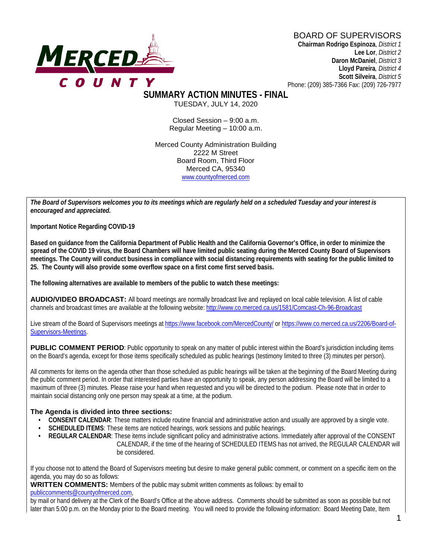#### BOARD OF SUPERVISORS



**Chairman Rodrigo Espinoza**, *District 1* **Lee Lor**, *District 2*  **Daron McDaniel**, *District 3* **Lloyd Pareira***, District 4*  **Scott Silveira**, *District 5* Phone: (209) 385-7366 Fax: (209) 726-7977

**SUMMARY ACTION MINUTES - FINAL**

TUESDAY, JULY 14, 2020

Closed Session – 9:00 a.m. Regular Meeting – 10:00 a.m.

Merced County Administration Building 2222 M Street Board Room, Third Floor Merced CA, 95340 www.countyofmerced.com

*The Board of Supervisors welcomes you to its meetings which are regularly held on a scheduled Tuesday and your interest is encouraged and appreciated.*

**Important Notice Regarding COVID-19**

**Based on guidance from the California Department of Public Health and the California Governor's Office, in order to minimize the spread of the COVID 19 virus, the Board Chambers will have limited public seating during the Merced County Board of Supervisors meetings. The County will conduct business in compliance with social distancing requirements with seating for the public limited to 25. The County will also provide some overflow space on a first come first served basis.**

**The following alternatives are available to members of the public to watch these meetings:**

**AUDIO/VIDEO BROADCAST:** All board meetings are normally broadcast live and replayed on local cable television. A list of cable channels and broadcast times are available at the following website[: http://www.co.merced.ca.us/1581/Comcast-Ch-96-Broadcast](http://www.co.merced.ca.us/1581/Comcast-Ch-96-Broadcast)

Live stream of the Board of Supervisors meetings at<https://www.facebook.com/MercedCounty/> o[r https://www.co.merced.ca.us/2206/Board-of-](https://www.co.merced.ca.us/2206/Board-of-Supervisors-Meetings)[Supervisors-Meetings.](https://www.co.merced.ca.us/2206/Board-of-Supervisors-Meetings)

**PUBLIC COMMENT PERIOD:** Public opportunity to speak on any matter of public interest within the Board's jurisdiction including items on the Board's agenda, except for those items specifically scheduled as public hearings (testimony limited to three (3) minutes per person).

All comments for items on the agenda other than those scheduled as public hearings will be taken at the beginning of the Board Meeting during the public comment period. In order that interested parties have an opportunity to speak, any person addressing the Board will be limited to a maximum of three (3) minutes. Please raise your hand when requested and you will be directed to the podium. Please note that in order to maintain social distancing only one person may speak at a time, at the podium.

#### **The Agenda is divided into three sections:**

- **CONSENT CALENDAR**: These matters include routine financial and administrative action and usually are approved by a single vote.
- **SCHEDULED ITEMS:** These items are noticed hearings, work sessions and public hearings.
- **REGULAR CALENDAR:** These items include significant policy and administrative actions. Immediately after approval of the CONSENT CALENDAR, if the time of the hearing of SCHEDULED ITEMS has not arrived, the REGULAR CALENDAR will be considered.

If you choose not to attend the Board of Supervisors meeting but desire to make general public comment, or comment on a specific item on the agenda, you may do so as follows:

**WRITTEN COMMENTS:** Members of the public may submit written comments as follows: by email to [publiccomments@countyofmerced.com,](mailto:publiccomments@countyofmerced.com)

by mail or hand delivery at the Clerk of the Board's Office at the above address. Comments should be submitted as soon as possible but not later than 5:00 p.m. on the Monday prior to the Board meeting. You will need to provide the following information: Board Meeting Date, Item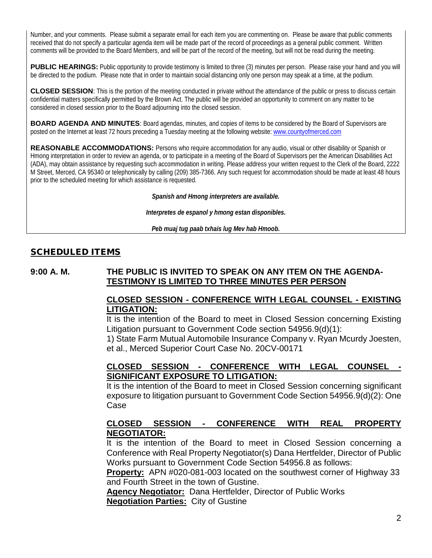Number, and your comments. Please submit a separate email for each item you are commenting on. Please be aware that public comments received that do not specify a particular agenda item will be made part of the record of proceedings as a general public comment. Written comments will be provided to the Board Members, and will be part of the record of the meeting, but will not be read during the meeting.

**PUBLIC HEARINGS:** Public opportunity to provide testimony is limited to three (3) minutes per person. Please raise your hand and you will be directed to the podium. Please note that in order to maintain social distancing only one person may speak at a time, at the podium.

**CLOSED SESSION**: This is the portion of the meeting conducted in private without the attendance of the public or press to discuss certain confidential matters specifically permitted by the Brown Act. The public will be provided an opportunity to comment on any matter to be considered in closed session prior to the Board adjourning into the closed session.

**BOARD AGENDA AND MINUTES:** Board agendas, minutes, and copies of items to be considered by the Board of Supervisors are posted on the Internet at least 72 hours preceding a Tuesday meeting at the following website: [www.countyofmerced.com](http://www.countyofmerced.com/) 

**REASONABLE ACCOMMODATIONS:** Persons who require accommodation for any audio, visual or other disability or Spanish or Hmong interpretation in order to review an agenda, or to participate in a meeting of the Board of Supervisors per the American Disabilities Act (ADA), may obtain assistance by requesting such accommodation in writing. Please address your written request to the Clerk of the Board, 2222 M Street, Merced, CA 95340 or telephonically by calling (209) 385-7366. Any such request for accommodation should be made at least 48 hours prior to the scheduled meeting for which assistance is requested.

*Spanish and Hmong interpreters are available.*

*Interpretes de espanol y hmong estan disponibles.*

*Peb muaj tug paab txhais lug Mev hab Hmoob.* 

## SCHEDULED ITEMS

## **9:00 A. M. THE PUBLIC IS INVITED TO SPEAK ON ANY ITEM ON THE AGENDA-TESTIMONY IS LIMITED TO THREE MINUTES PER PERSON**

### **CLOSED SESSION - CONFERENCE WITH LEGAL COUNSEL - EXISTING LITIGATION:**

It is the intention of the Board to meet in Closed Session concerning Existing Litigation pursuant to Government Code section 54956.9(d)(1):

1) State Farm Mutual Automobile Insurance Company v. Ryan Mcurdy Joesten, et al., Merced Superior Court Case No. 20CV-00171

## **CLOSED SESSION - CONFERENCE WITH LEGAL COUNSEL - SIGNIFICANT EXPOSURE TO LITIGATION:**

It is the intention of the Board to meet in Closed Session concerning significant exposure to litigation pursuant to Government Code Section 54956.9(d)(2): One Case

# **CLOSED SESSION - CONFERENCE WITH REAL PROPERTY NEGOTIATOR:**

It is the intention of the Board to meet in Closed Session concerning a Conference with Real Property Negotiator(s) Dana Hertfelder, Director of Public Works pursuant to Government Code Section 54956.8 as follows:

**Property:** APN #020-081-003 located on the southwest corner of Highway 33 and Fourth Street in the town of Gustine.

**Agency Negotiator:** Dana Hertfelder, Director of Public Works **Negotiation Parties:** City of Gustine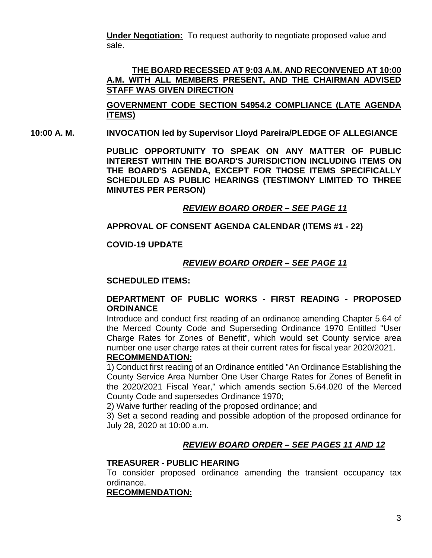**Under Negotiation:** To request authority to negotiate proposed value and sale.

#### **THE BOARD RECESSED AT 9:03 A.M. AND RECONVENED AT 10:00 A.M. WITH ALL MEMBERS PRESENT, AND THE CHAIRMAN ADVISED STAFF WAS GIVEN DIRECTION**

**GOVERNMENT CODE SECTION 54954.2 COMPLIANCE (LATE AGENDA ITEMS)**

**10:00 A. M. INVOCATION led by Supervisor Lloyd Pareira/PLEDGE OF ALLEGIANCE**

**PUBLIC OPPORTUNITY TO SPEAK ON ANY MATTER OF PUBLIC INTEREST WITHIN THE BOARD'S JURISDICTION INCLUDING ITEMS ON THE BOARD'S AGENDA, EXCEPT FOR THOSE ITEMS SPECIFICALLY SCHEDULED AS PUBLIC HEARINGS (TESTIMONY LIMITED TO THREE MINUTES PER PERSON)**

## *REVIEW BOARD ORDER – SEE PAGE 11*

## **APPROVAL OF CONSENT AGENDA CALENDAR (ITEMS #1 - 22)**

#### **COVID-19 UPDATE**

# *REVIEW BOARD ORDER – SEE PAGE 11*

#### **SCHEDULED ITEMS:**

### **DEPARTMENT OF PUBLIC WORKS - FIRST READING - PROPOSED ORDINANCE**

Introduce and conduct first reading of an ordinance amending Chapter 5.64 of the Merced County Code and Superseding Ordinance 1970 Entitled "User Charge Rates for Zones of Benefit", which would set County service area number one user charge rates at their current rates for fiscal year 2020/2021. **RECOMMENDATION:**

1) Conduct first reading of an Ordinance entitled "An Ordinance Establishing the County Service Area Number One User Charge Rates for Zones of Benefit in the 2020/2021 Fiscal Year," which amends section 5.64.020 of the Merced County Code and supersedes Ordinance 1970;

2) Waive further reading of the proposed ordinance; and

3) Set a second reading and possible adoption of the proposed ordinance for July 28, 2020 at 10:00 a.m.

# *REVIEW BOARD ORDER – SEE PAGES 11 AND 12*

### **TREASURER - PUBLIC HEARING**

To consider proposed ordinance amending the transient occupancy tax ordinance.

# **RECOMMENDATION:**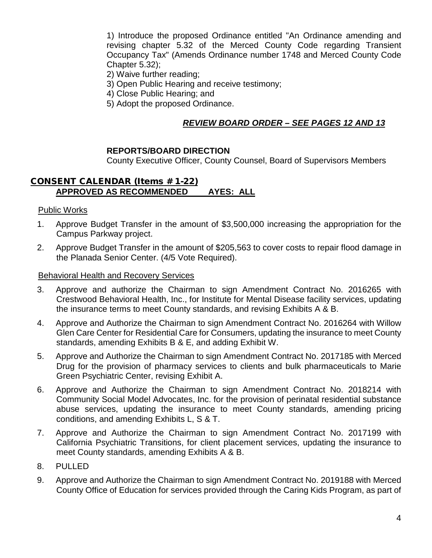1) Introduce the proposed Ordinance entitled "An Ordinance amending and revising chapter 5.32 of the Merced County Code regarding Transient Occupancy Tax" (Amends Ordinance number 1748 and Merced County Code Chapter 5.32);

- 2) Waive further reading;
- 3) Open Public Hearing and receive testimony;
- 4) Close Public Hearing; and
- 5) Adopt the proposed Ordinance.

# *REVIEW BOARD ORDER – SEE PAGES 12 AND 13*

### **REPORTS/BOARD DIRECTION**

County Executive Officer, County Counsel, Board of Supervisors Members

## CONSENT CALENDAR (Items # 1-22) **APPROVED AS RECOMMENDED AYES: ALL**

Public Works

- 1. Approve Budget Transfer in the amount of \$3,500,000 increasing the appropriation for the Campus Parkway project.
- 2. Approve Budget Transfer in the amount of \$205,563 to cover costs to repair flood damage in the Planada Senior Center. (4/5 Vote Required).

### Behavioral Health and Recovery Services

- 3. Approve and authorize the Chairman to sign Amendment Contract No. 2016265 with Crestwood Behavioral Health, Inc., for Institute for Mental Disease facility services, updating the insurance terms to meet County standards, and revising Exhibits A & B.
- 4. Approve and Authorize the Chairman to sign Amendment Contract No. 2016264 with Willow Glen Care Center for Residential Care for Consumers, updating the insurance to meet County standards, amending Exhibits B & E, and adding Exhibit W.
- 5. Approve and Authorize the Chairman to sign Amendment Contract No. 2017185 with Merced Drug for the provision of pharmacy services to clients and bulk pharmaceuticals to Marie Green Psychiatric Center, revising Exhibit A.
- 6. Approve and Authorize the Chairman to sign Amendment Contract No. 2018214 with Community Social Model Advocates, Inc. for the provision of perinatal residential substance abuse services, updating the insurance to meet County standards, amending pricing conditions, and amending Exhibits L, S & T.
- 7. Approve and Authorize the Chairman to sign Amendment Contract No. 2017199 with California Psychiatric Transitions, for client placement services, updating the insurance to meet County standards, amending Exhibits A & B.
- 8. PULLED
- 9. Approve and Authorize the Chairman to sign Amendment Contract No. 2019188 with Merced County Office of Education for services provided through the Caring Kids Program, as part of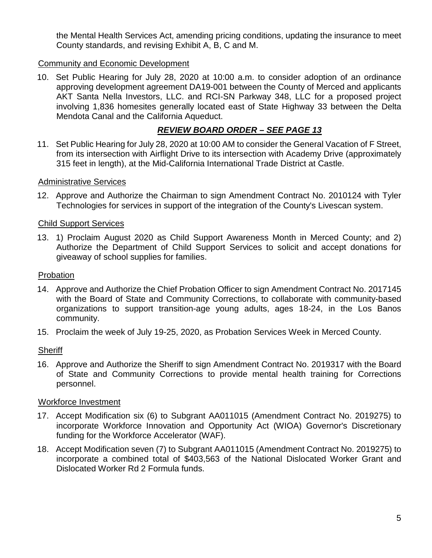the Mental Health Services Act, amending pricing conditions, updating the insurance to meet County standards, and revising Exhibit A, B, C and M.

## Community and Economic Development

10. Set Public Hearing for July 28, 2020 at 10:00 a.m. to consider adoption of an ordinance approving development agreement DA19-001 between the County of Merced and applicants AKT Santa Nella Investors, LLC. and RCI-SN Parkway 348, LLC for a proposed project involving 1,836 homesites generally located east of State Highway 33 between the Delta Mendota Canal and the California Aqueduct.

# *REVIEW BOARD ORDER – SEE PAGE 13*

11. Set Public Hearing for July 28, 2020 at 10:00 AM to consider the General Vacation of F Street, from its intersection with Airflight Drive to its intersection with Academy Drive (approximately 315 feet in length), at the Mid-California International Trade District at Castle.

### Administrative Services

12. Approve and Authorize the Chairman to sign Amendment Contract No. 2010124 with Tyler Technologies for services in support of the integration of the County's Livescan system.

### Child Support Services

13. 1) Proclaim August 2020 as Child Support Awareness Month in Merced County; and 2) Authorize the Department of Child Support Services to solicit and accept donations for giveaway of school supplies for families.

#### Probation

- 14. Approve and Authorize the Chief Probation Officer to sign Amendment Contract No. 2017145 with the Board of State and Community Corrections, to collaborate with community-based organizations to support transition-age young adults, ages 18-24, in the Los Banos community.
- 15. Proclaim the week of July 19-25, 2020, as Probation Services Week in Merced County.

#### **Sheriff**

16. Approve and Authorize the Sheriff to sign Amendment Contract No. 2019317 with the Board of State and Community Corrections to provide mental health training for Corrections personnel.

#### Workforce Investment

- 17. Accept Modification six (6) to Subgrant AA011015 (Amendment Contract No. 2019275) to incorporate Workforce Innovation and Opportunity Act (WIOA) Governor's Discretionary funding for the Workforce Accelerator (WAF).
- 18. Accept Modification seven (7) to Subgrant AA011015 (Amendment Contract No. 2019275) to incorporate a combined total of \$403,563 of the National Dislocated Worker Grant and Dislocated Worker Rd 2 Formula funds.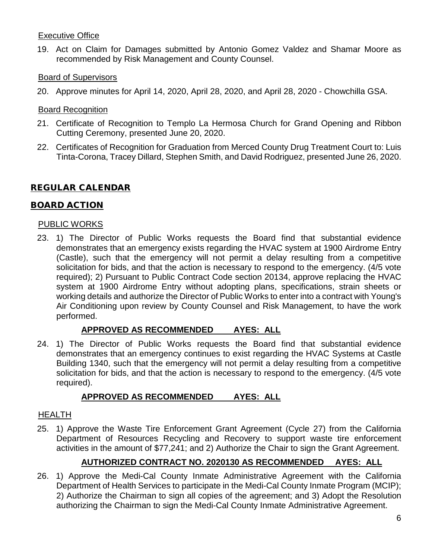## Executive Office

19. Act on Claim for Damages submitted by Antonio Gomez Valdez and Shamar Moore as recommended by Risk Management and County Counsel.

# Board of Supervisors

20. Approve minutes for April 14, 2020, April 28, 2020, and April 28, 2020 - Chowchilla GSA.

# Board Recognition

- 21. Certificate of Recognition to Templo La Hermosa Church for Grand Opening and Ribbon Cutting Ceremony, presented June 20, 2020.
- 22. Certificates of Recognition for Graduation from Merced County Drug Treatment Court to: Luis Tinta-Corona, Tracey Dillard, Stephen Smith, and David Rodriguez, presented June 26, 2020.

# REGULAR CALENDAR

# BOARD ACTION

### PUBLIC WORKS

23. 1) The Director of Public Works requests the Board find that substantial evidence demonstrates that an emergency exists regarding the HVAC system at 1900 Airdrome Entry (Castle), such that the emergency will not permit a delay resulting from a competitive solicitation for bids, and that the action is necessary to respond to the emergency. (4/5 vote required); 2) Pursuant to Public Contract Code section 20134, approve replacing the HVAC system at 1900 Airdrome Entry without adopting plans, specifications, strain sheets or working details and authorize the Director of Public Works to enter into a contract with Young's Air Conditioning upon review by County Counsel and Risk Management, to have the work performed.

# **APPROVED AS RECOMMENDED AYES: ALL**

24. 1) The Director of Public Works requests the Board find that substantial evidence demonstrates that an emergency continues to exist regarding the HVAC Systems at Castle Building 1340, such that the emergency will not permit a delay resulting from a competitive solicitation for bids, and that the action is necessary to respond to the emergency. (4/5 vote required).

# **APPROVED AS RECOMMENDED AYES: ALL**

### HEALTH

25. 1) Approve the Waste Tire Enforcement Grant Agreement (Cycle 27) from the California Department of Resources Recycling and Recovery to support waste tire enforcement activities in the amount of \$77,241; and 2) Authorize the Chair to sign the Grant Agreement.

# **AUTHORIZED CONTRACT NO. 2020130 AS RECOMMENDED AYES: ALL**

26. 1) Approve the Medi-Cal County Inmate Administrative Agreement with the California Department of Health Services to participate in the Medi-Cal County Inmate Program (MCIP); 2) Authorize the Chairman to sign all copies of the agreement; and 3) Adopt the Resolution authorizing the Chairman to sign the Medi-Cal County Inmate Administrative Agreement.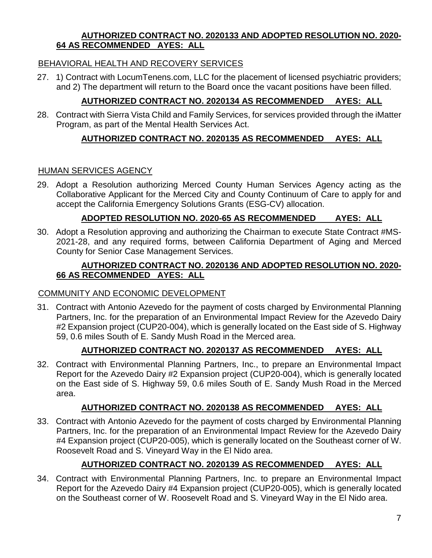### **AUTHORIZED CONTRACT NO. 2020133 AND ADOPTED RESOLUTION NO. 2020- 64 AS RECOMMENDED AYES: ALL**

# BEHAVIORAL HEALTH AND RECOVERY SERVICES

27. 1) Contract with LocumTenens.com, LLC for the placement of licensed psychiatric providers; and 2) The department will return to the Board once the vacant positions have been filled.

# **AUTHORIZED CONTRACT NO. 2020134 AS RECOMMENDED AYES: ALL**

28. Contract with Sierra Vista Child and Family Services, for services provided through the iMatter Program, as part of the Mental Health Services Act.

# **AUTHORIZED CONTRACT NO. 2020135 AS RECOMMENDED AYES: ALL**

### HUMAN SERVICES AGENCY

29. Adopt a Resolution authorizing Merced County Human Services Agency acting as the Collaborative Applicant for the Merced City and County Continuum of Care to apply for and accept the California Emergency Solutions Grants (ESG-CV) allocation.

## **ADOPTED RESOLUTION NO. 2020-65 AS RECOMMENDED AYES: ALL**

30. Adopt a Resolution approving and authorizing the Chairman to execute State Contract #MS-2021-28, and any required forms, between California Department of Aging and Merced County for Senior Case Management Services.

### **AUTHORIZED CONTRACT NO. 2020136 AND ADOPTED RESOLUTION NO. 2020- 66 AS RECOMMENDED AYES: ALL**

# COMMUNITY AND ECONOMIC DEVELOPMENT

31. Contract with Antonio Azevedo for the payment of costs charged by Environmental Planning Partners, Inc. for the preparation of an Environmental Impact Review for the Azevedo Dairy #2 Expansion project (CUP20-004), which is generally located on the East side of S. Highway 59, 0.6 miles South of E. Sandy Mush Road in the Merced area.

# **AUTHORIZED CONTRACT NO. 2020137 AS RECOMMENDED AYES: ALL**

32. Contract with Environmental Planning Partners, Inc., to prepare an Environmental Impact Report for the Azevedo Dairy #2 Expansion project (CUP20-004), which is generally located on the East side of S. Highway 59, 0.6 miles South of E. Sandy Mush Road in the Merced area.

### **AUTHORIZED CONTRACT NO. 2020138 AS RECOMMENDED AYES: ALL**

33. Contract with Antonio Azevedo for the payment of costs charged by Environmental Planning Partners, Inc. for the preparation of an Environmental Impact Review for the Azevedo Dairy #4 Expansion project (CUP20-005), which is generally located on the Southeast corner of W. Roosevelt Road and S. Vineyard Way in the El Nido area.

# **AUTHORIZED CONTRACT NO. 2020139 AS RECOMMENDED AYES: ALL**

34. Contract with Environmental Planning Partners, Inc. to prepare an Environmental Impact Report for the Azevedo Dairy #4 Expansion project (CUP20-005), which is generally located on the Southeast corner of W. Roosevelt Road and S. Vineyard Way in the El Nido area.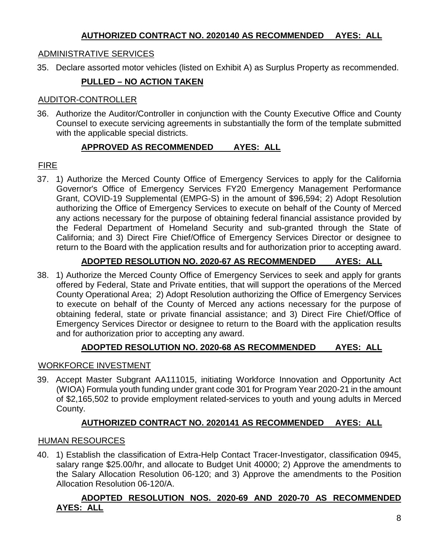## **AUTHORIZED CONTRACT NO. 2020140 AS RECOMMENDED AYES: ALL**

# ADMINISTRATIVE SERVICES

35. Declare assorted motor vehicles (listed on Exhibit A) as Surplus Property as recommended.

# **PULLED – NO ACTION TAKEN**

#### AUDITOR-CONTROLLER

36. Authorize the Auditor/Controller in conjunction with the County Executive Office and County Counsel to execute servicing agreements in substantially the form of the template submitted with the applicable special districts.

## **APPROVED AS RECOMMENDED AYES: ALL**

# FIRE

37. 1) Authorize the Merced County Office of Emergency Services to apply for the California Governor's Office of Emergency Services FY20 Emergency Management Performance Grant, COVID-19 Supplemental (EMPG-S) in the amount of \$96,594; 2) Adopt Resolution authorizing the Office of Emergency Services to execute on behalf of the County of Merced any actions necessary for the purpose of obtaining federal financial assistance provided by the Federal Department of Homeland Security and sub-granted through the State of California; and 3) Direct Fire Chief/Office of Emergency Services Director or designee to return to the Board with the application results and for authorization prior to accepting award.

# **ADOPTED RESOLUTION NO. 2020-67 AS RECOMMENDED AYES: ALL**

38. 1) Authorize the Merced County Office of Emergency Services to seek and apply for grants offered by Federal, State and Private entities, that will support the operations of the Merced County Operational Area; 2) Adopt Resolution authorizing the Office of Emergency Services to execute on behalf of the County of Merced any actions necessary for the purpose of obtaining federal, state or private financial assistance; and 3) Direct Fire Chief/Office of Emergency Services Director or designee to return to the Board with the application results and for authorization prior to accepting any award.

# **ADOPTED RESOLUTION NO. 2020-68 AS RECOMMENDED AYES: ALL**

### WORKFORCE INVESTMENT

39. Accept Master Subgrant AA111015, initiating Workforce Innovation and Opportunity Act (WIOA) Formula youth funding under grant code 301 for Program Year 2020-21 in the amount of \$2,165,502 to provide employment related-services to youth and young adults in Merced County.

# **AUTHORIZED CONTRACT NO. 2020141 AS RECOMMENDED AYES: ALL**

### HUMAN RESOURCES

40. 1) Establish the classification of Extra-Help Contact Tracer-Investigator, classification 0945, salary range \$25.00/hr, and allocate to Budget Unit 40000; 2) Approve the amendments to the Salary Allocation Resolution 06-120; and 3) Approve the amendments to the Position Allocation Resolution 06-120/A.

## **ADOPTED RESOLUTION NOS. 2020-69 AND 2020-70 AS RECOMMENDED AYES: ALL**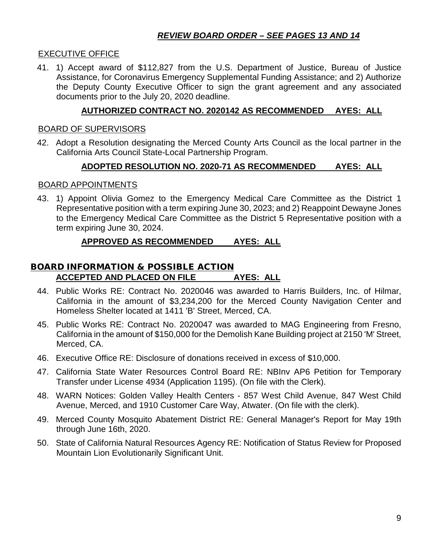# *REVIEW BOARD ORDER – SEE PAGES 13 AND 14*

### EXECUTIVE OFFICE

41. 1) Accept award of \$112,827 from the U.S. Department of Justice, Bureau of Justice Assistance, for Coronavirus Emergency Supplemental Funding Assistance; and 2) Authorize the Deputy County Executive Officer to sign the grant agreement and any associated documents prior to the July 20, 2020 deadline.

### **AUTHORIZED CONTRACT NO. 2020142 AS RECOMMENDED AYES: ALL**

#### BOARD OF SUPERVISORS

42. Adopt a Resolution designating the Merced County Arts Council as the local partner in the California Arts Council State-Local Partnership Program.

#### **ADOPTED RESOLUTION NO. 2020-71 AS RECOMMENDED AYES: ALL**

#### BOARD APPOINTMENTS

43. 1) Appoint Olivia Gomez to the Emergency Medical Care Committee as the District 1 Representative position with a term expiring June 30, 2023; and 2) Reappoint Dewayne Jones to the Emergency Medical Care Committee as the District 5 Representative position with a term expiring June 30, 2024.

### **APPROVED AS RECOMMENDED AYES: ALL**

# BOARD INFORMATION & POSSIBLE ACTION **ACCEPTED AND PLACED ON FILE AYES: ALL**

- 44. Public Works RE: Contract No. 2020046 was awarded to Harris Builders, Inc. of Hilmar, California in the amount of \$3,234,200 for the Merced County Navigation Center and Homeless Shelter located at 1411 'B' Street, Merced, CA.
- 45. Public Works RE: Contract No. 2020047 was awarded to MAG Engineering from Fresno, California in the amount of \$150,000 for the Demolish Kane Building project at 2150 'M' Street, Merced, CA.
- 46. Executive Office RE: Disclosure of donations received in excess of \$10,000.
- 47. California State Water Resources Control Board RE: NBInv AP6 Petition for Temporary Transfer under License 4934 (Application 1195). (On file with the Clerk).
- 48. WARN Notices: Golden Valley Health Centers 857 West Child Avenue, 847 West Child Avenue, Merced, and 1910 Customer Care Way, Atwater. (On file with the clerk).
- 49. Merced County Mosquito Abatement District RE: General Manager's Report for May 19th through June 16th, 2020.
- 50. State of California Natural Resources Agency RE: Notification of Status Review for Proposed Mountain Lion Evolutionarily Significant Unit.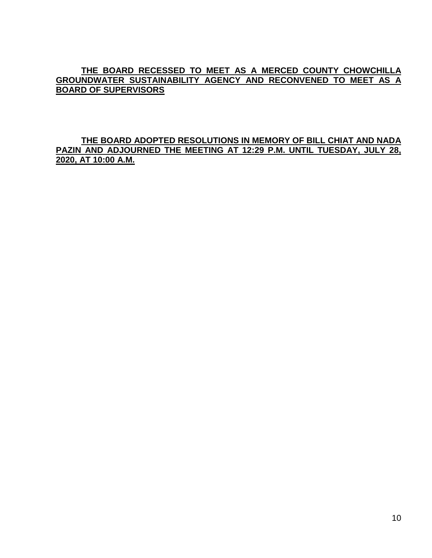## **THE BOARD RECESSED TO MEET AS A MERCED COUNTY CHOWCHILLA GROUNDWATER SUSTAINABILITY AGENCY AND RECONVENED TO MEET AS A BOARD OF SUPERVISORS**

### **THE BOARD ADOPTED RESOLUTIONS IN MEMORY OF BILL CHIAT AND NADA PAZIN AND ADJOURNED THE MEETING AT 12:29 P.M. UNTIL TUESDAY, JULY 28, 2020, AT 10:00 A.M.**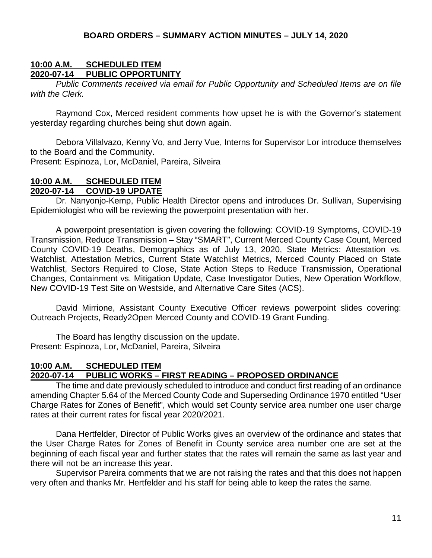### **10:00 A.M. SCHEDULED ITEM PUBLIC OPPORTUNITY**

*Public Comments received via email for Public Opportunity and Scheduled Items are on file with the Clerk.*

Raymond Cox, Merced resident comments how upset he is with the Governor's statement yesterday regarding churches being shut down again.

Debora Villalvazo, Kenny Vo, and Jerry Vue, Interns for Supervisor Lor introduce themselves to the Board and the Community.

Present: Espinoza, Lor, McDaniel, Pareira, Silveira

#### **10:00 A.M. SCHEDULED ITEM 2020-07-14 COVID-19 UPDATE**

Dr. Nanyonjo-Kemp, Public Health Director opens and introduces Dr. Sullivan, Supervising Epidemiologist who will be reviewing the powerpoint presentation with her.

A powerpoint presentation is given covering the following: COVID-19 Symptoms, COVID-19 Transmission, Reduce Transmission – Stay "SMART", Current Merced County Case Count, Merced County COVID-19 Deaths, Demographics as of July 13, 2020, State Metrics: Attestation vs. Watchlist, Attestation Metrics, Current State Watchlist Metrics, Merced County Placed on State Watchlist, Sectors Required to Close, State Action Steps to Reduce Transmission, Operational Changes, Containment vs. Mitigation Update, Case Investigator Duties, New Operation Workflow, New COVID-19 Test Site on Westside, and Alternative Care Sites (ACS).

David Mirrione, Assistant County Executive Officer reviews powerpoint slides covering: Outreach Projects, Ready2Open Merced County and COVID-19 Grant Funding.

The Board has lengthy discussion on the update. Present: Espinoza, Lor, McDaniel, Pareira, Silveira

# **10:00 A.M. SCHEDULED ITEM**

### **2020-07-14 PUBLIC WORKS – FIRST READING – PROPOSED ORDINANCE**

The time and date previously scheduled to introduce and conduct first reading of an ordinance amending Chapter 5.64 of the Merced County Code and Superseding Ordinance 1970 entitled "User Charge Rates for Zones of Benefit", which would set County service area number one user charge rates at their current rates for fiscal year 2020/2021.

Dana Hertfelder, Director of Public Works gives an overview of the ordinance and states that the User Charge Rates for Zones of Benefit in County service area number one are set at the beginning of each fiscal year and further states that the rates will remain the same as last year and there will not be an increase this year.

Supervisor Pareira comments that we are not raising the rates and that this does not happen very often and thanks Mr. Hertfelder and his staff for being able to keep the rates the same.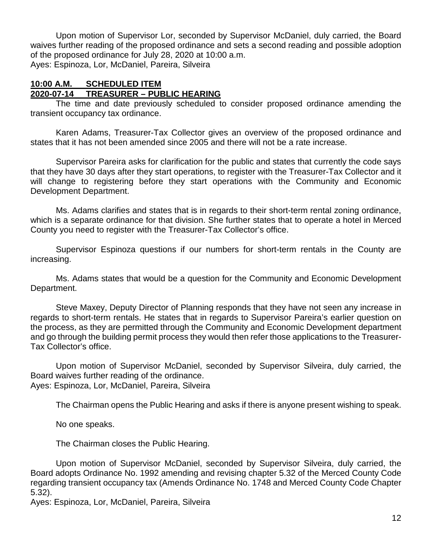Upon motion of Supervisor Lor, seconded by Supervisor McDaniel, duly carried, the Board waives further reading of the proposed ordinance and sets a second reading and possible adoption of the proposed ordinance for July 28, 2020 at 10:00 a.m. Ayes: Espinoza, Lor, McDaniel, Pareira, Silveira

#### **10:00 A.M. SCHEDULED ITEM 2020-07-14 TREASURER – PUBLIC HEARING**

The time and date previously scheduled to consider proposed ordinance amending the transient occupancy tax ordinance.

Karen Adams, Treasurer-Tax Collector gives an overview of the proposed ordinance and states that it has not been amended since 2005 and there will not be a rate increase.

Supervisor Pareira asks for clarification for the public and states that currently the code says that they have 30 days after they start operations, to register with the Treasurer-Tax Collector and it will change to registering before they start operations with the Community and Economic Development Department.

Ms. Adams clarifies and states that is in regards to their short-term rental zoning ordinance, which is a separate ordinance for that division. She further states that to operate a hotel in Merced County you need to register with the Treasurer-Tax Collector's office.

Supervisor Espinoza questions if our numbers for short-term rentals in the County are increasing.

Ms. Adams states that would be a question for the Community and Economic Development Department.

Steve Maxey, Deputy Director of Planning responds that they have not seen any increase in regards to short-term rentals. He states that in regards to Supervisor Pareira's earlier question on the process, as they are permitted through the Community and Economic Development department and go through the building permit process they would then refer those applications to the Treasurer-Tax Collector's office.

Upon motion of Supervisor McDaniel, seconded by Supervisor Silveira, duly carried, the Board waives further reading of the ordinance. Ayes: Espinoza, Lor, McDaniel, Pareira, Silveira

The Chairman opens the Public Hearing and asks if there is anyone present wishing to speak.

No one speaks.

The Chairman closes the Public Hearing.

Upon motion of Supervisor McDaniel, seconded by Supervisor Silveira, duly carried, the Board adopts Ordinance No. 1992 amending and revising chapter 5.32 of the Merced County Code regarding transient occupancy tax (Amends Ordinance No. 1748 and Merced County Code Chapter 5.32).

Ayes: Espinoza, Lor, McDaniel, Pareira, Silveira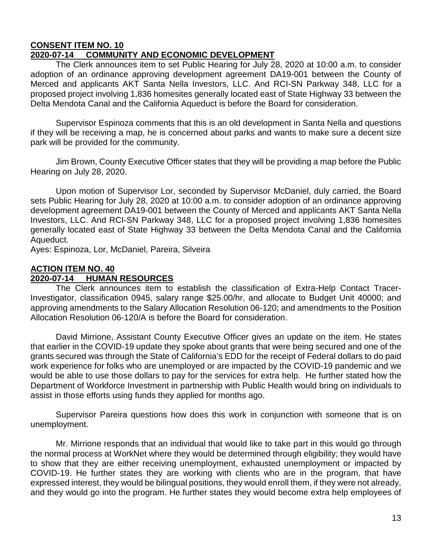#### **CONSENT ITEM NO. 10 2020-07-14 COMMUNITY AND ECONOMIC DEVELOPMENT**

The Clerk announces item to set Public Hearing for July 28, 2020 at 10:00 a.m. to consider adoption of an ordinance approving development agreement DA19-001 between the County of Merced and applicants AKT Santa Nella Investors, LLC. And RCI-SN Parkway 348, LLC for a proposed project involving 1,836 homesites generally located east of State Highway 33 between the Delta Mendota Canal and the California Aqueduct is before the Board for consideration.

Supervisor Espinoza comments that this is an old development in Santa Nella and questions if they will be receiving a map, he is concerned about parks and wants to make sure a decent size park will be provided for the community.

Jim Brown, County Executive Officer states that they will be providing a map before the Public Hearing on July 28, 2020.

Upon motion of Supervisor Lor, seconded by Supervisor McDaniel, duly carried, the Board sets Public Hearing for July 28, 2020 at 10:00 a.m. to consider adoption of an ordinance approving development agreement DA19-001 between the County of Merced and applicants AKT Santa Nella Investors, LLC. And RCI-SN Parkway 348, LLC for a proposed project involving 1,836 homesites generally located east of State Highway 33 between the Delta Mendota Canal and the California Aqueduct.

Ayes: Espinoza, Lor, McDaniel, Pareira, Silveira

# **ACTION ITEM NO. 40**

# **2020-07-14 HUMAN RESOURCES**

The Clerk announces item to establish the classification of Extra-Help Contact Tracer-Investigator, classification 0945, salary range \$25.00/hr, and allocate to Budget Unit 40000; and approving amendments to the Salary Allocation Resolution 06-120; and amendments to the Position Allocation Resolution 06-120/A is before the Board for consideration.

David Mirrione, Assistant County Executive Officer gives an update on the item. He states that earlier in the COVID-19 update they spoke about grants that were being secured and one of the grants secured was through the State of California's EDD for the receipt of Federal dollars to do paid work experience for folks who are unemployed or are impacted by the COVID-19 pandemic and we would be able to use those dollars to pay for the services for extra help. He further stated how the Department of Workforce Investment in partnership with Public Health would bring on individuals to assist in those efforts using funds they applied for months ago.

Supervisor Pareira questions how does this work in conjunction with someone that is on unemployment.

Mr. Mirrione responds that an individual that would like to take part in this would go through the normal process at WorkNet where they would be determined through eligibility; they would have to show that they are either receiving unemployment, exhausted unemployment or impacted by COVID-19. He further states they are working with clients who are in the program, that have expressed interest, they would be bilingual positions, they would enroll them, if they were not already, and they would go into the program. He further states they would become extra help employees of